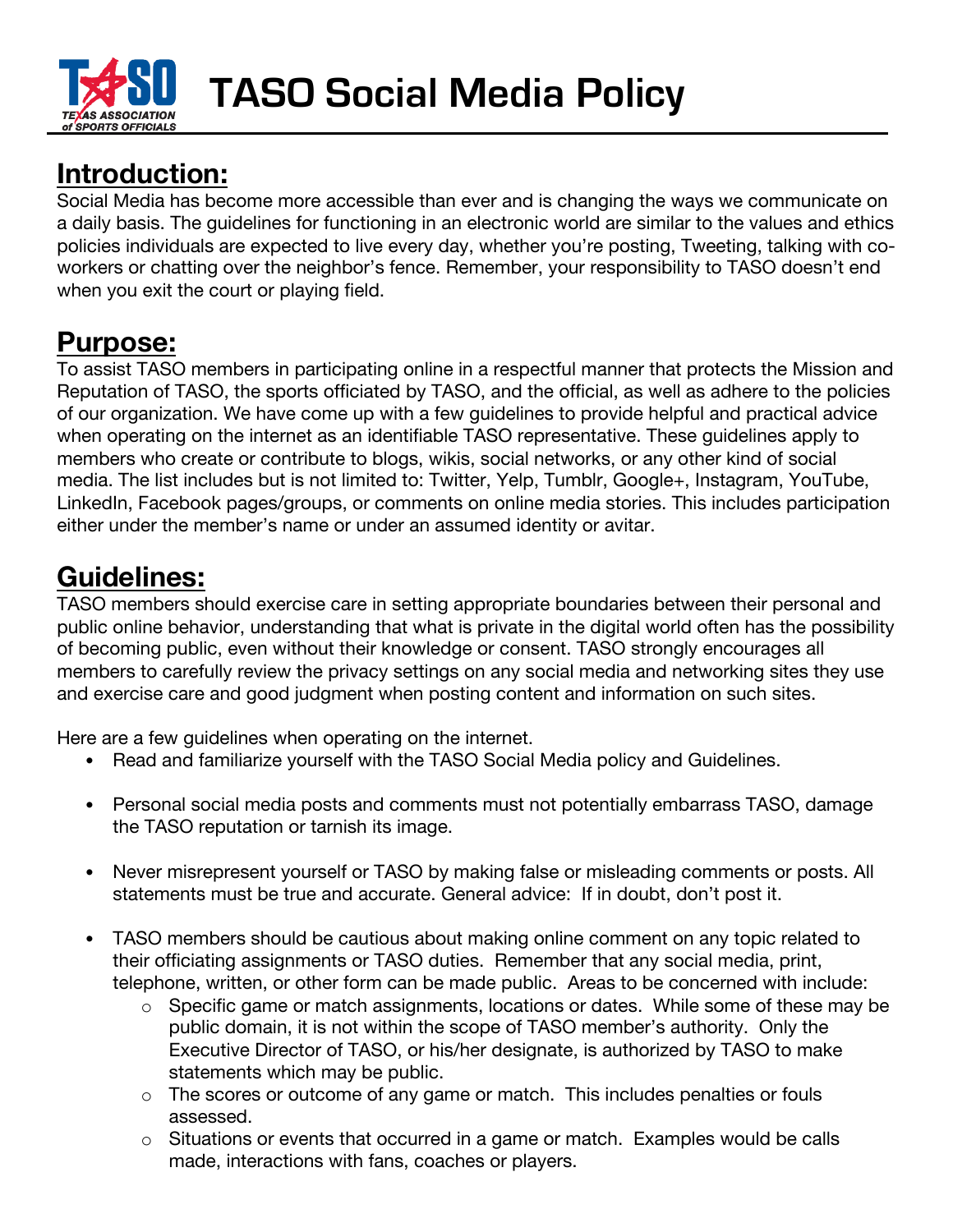

**TASO Social Media Policy** 

## **Introduction:**

Social Media has become more accessible than ever and is changing the ways we communicate on a daily basis. The guidelines for functioning in an electronic world are similar to the values and ethics policies individuals are expected to live every day, whether you're posting, Tweeting, talking with coworkers or chatting over the neighbor's fence. Remember, your responsibility to TASO doesn't end when you exit the court or playing field.

## **Purpose:**

To assist TASO members in participating online in a respectful manner that protects the Mission and Reputation of TASO, the sports officiated by TASO, and the official, as well as adhere to the policies of our organization. We have come up with a few guidelines to provide helpful and practical advice when operating on the internet as an identifiable TASO representative. These guidelines apply to members who create or contribute to blogs, wikis, social networks, or any other kind of social media. The list includes but is not limited to: Twitter, Yelp, Tumblr, Google+, Instagram, YouTube, LinkedIn, Facebook pages/groups, or comments on online media stories. This includes participation either under the member's name or under an assumed identity or avitar.

## **Guidelines:**

TASO members should exercise care in setting appropriate boundaries between their personal and public online behavior, understanding that what is private in the digital world often has the possibility of becoming public, even without their knowledge or consent. TASO strongly encourages all members to carefully review the privacy settings on any social media and networking sites they use and exercise care and good judgment when posting content and information on such sites.

Here are a few guidelines when operating on the internet.

- Read and familiarize yourself with the TASO Social Media policy and Guidelines.
- Personal social media posts and comments must not potentially embarrass TASO, damage the TASO reputation or tarnish its image.
- Never misrepresent yourself or TASO by making false or misleading comments or posts. All statements must be true and accurate. General advice: If in doubt, don't post it.
- TASO members should be cautious about making online comment on any topic related to their officiating assignments or TASO duties. Remember that any social media, print, telephone, written, or other form can be made public. Areas to be concerned with include:
	- o Specific game or match assignments, locations or dates. While some of these may be public domain, it is not within the scope of TASO member's authority. Only the Executive Director of TASO, or his/her designate, is authorized by TASO to make statements which may be public.
	- o The scores or outcome of any game or match. This includes penalties or fouls assessed.
	- o Situations or events that occurred in a game or match. Examples would be calls made, interactions with fans, coaches or players.